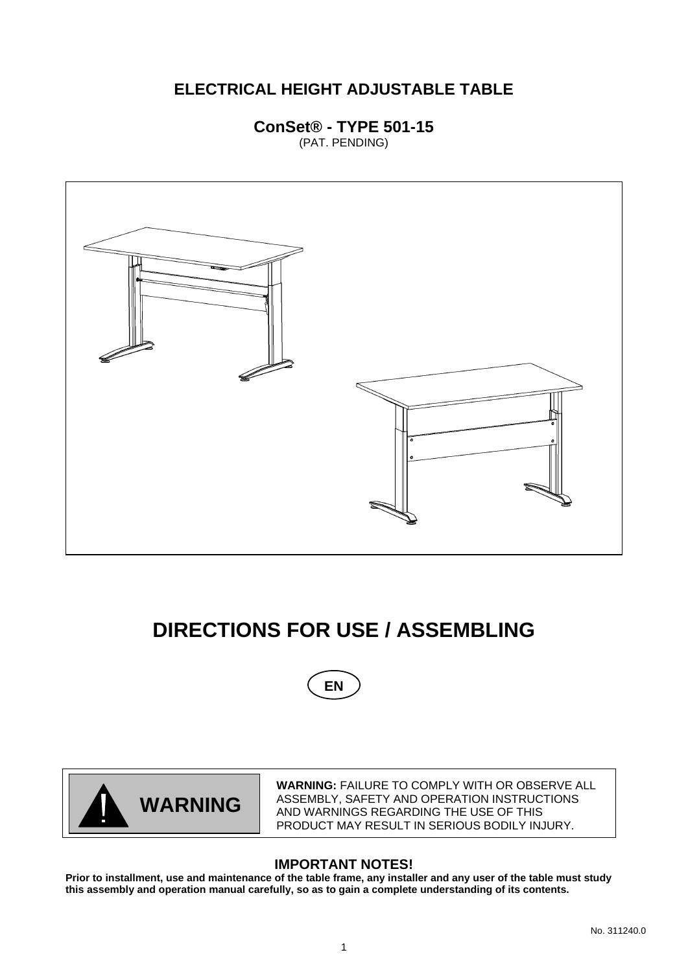# **ELECTRICAL HEIGHT ADJUSTABLE TABLE**

**ConSet® - TYPE 501-15**  (PAT. PENDING)



# **DIRECTIONS FOR USE / ASSEMBLING**





**WARNING:** FAILURE TO COMPLY WITH OR OBSERVE ALL ASSEMBLY, SAFETY AND OPERATION INSTRUCTIONS AND WARNINGS REGARDING THE USE OF THIS PRODUCT MAY RESULT IN SERIOUS BODILY INJURY.

# **IMPORTANT NOTES!**

**Prior to installment, use and maintenance of the table frame, any installer and any user of the table must study this assembly and operation manual carefully, so as to gain a complete understanding of its contents.**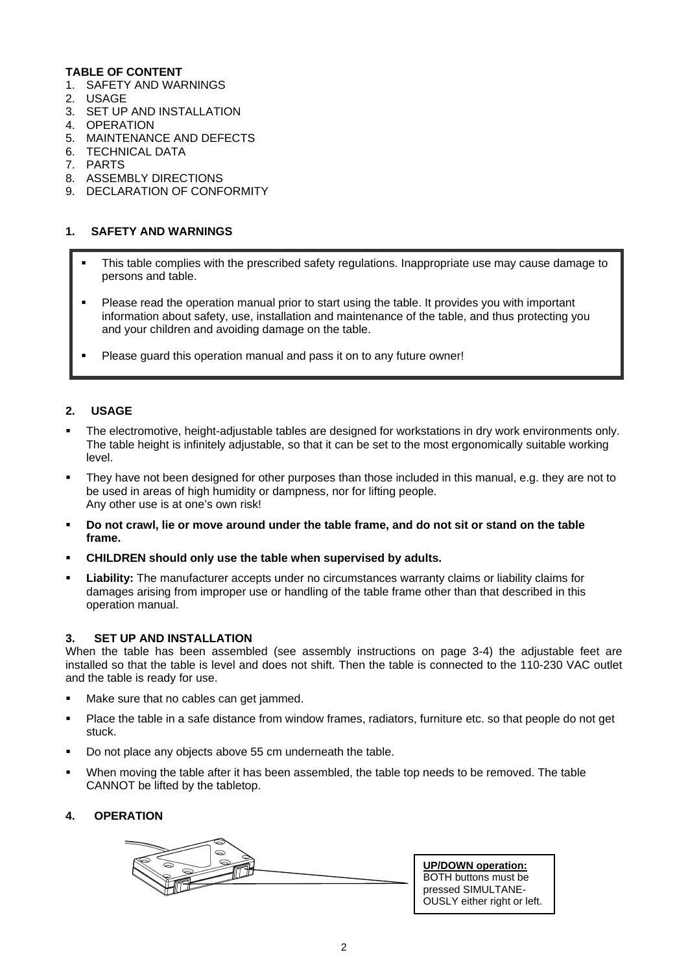#### **TABLE OF CONTENT**

- 1. SAFETY AND WARNINGS
- 2. USAGE
- 3. SET UP AND INSTALLATION
- 4. OPERATION
- 5. MAINTENANCE AND DEFECTS
- 6. TECHNICAL DATA
- 7. PARTS
- 8. ASSEMBLY DIRECTIONS
- 9. DECLARATION OF CONFORMITY

#### **1. SAFETY AND WARNINGS**

- This table complies with the prescribed safety regulations. Inappropriate use may cause damage to persons and table.
- Please read the operation manual prior to start using the table. It provides you with important information about safety, use, installation and maintenance of the table, and thus protecting you and your children and avoiding damage on the table.
- Please guard this operation manual and pass it on to any future owner!

#### **2. USAGE**

- The electromotive, height-adjustable tables are designed for workstations in dry work environments only. The table height is infinitely adjustable, so that it can be set to the most ergonomically suitable working level.
- They have not been designed for other purposes than those included in this manual, e.g. they are not to be used in areas of high humidity or dampness, nor for lifting people. Any other use is at one's own risk!
- **Do not crawl, lie or move around under the table frame, and do not sit or stand on the table frame.**
- **CHILDREN should only use the table when supervised by adults.**
- **Liability:** The manufacturer accepts under no circumstances warranty claims or liability claims for damages arising from improper use or handling of the table frame other than that described in this operation manual.

#### **3. SET UP AND INSTALLATION**

When the table has been assembled (see assembly instructions on page 3-4) the adjustable feet are installed so that the table is level and does not shift. Then the table is connected to the 110-230 VAC outlet and the table is ready for use.

- Make sure that no cables can get jammed.
- Place the table in a safe distance from window frames, radiators, furniture etc. so that people do not get stuck.
- Do not place any objects above 55 cm underneath the table.
- When moving the table after it has been assembled, the table top needs to be removed. The table CANNOT be lifted by the tabletop.

#### **4. OPERATION**

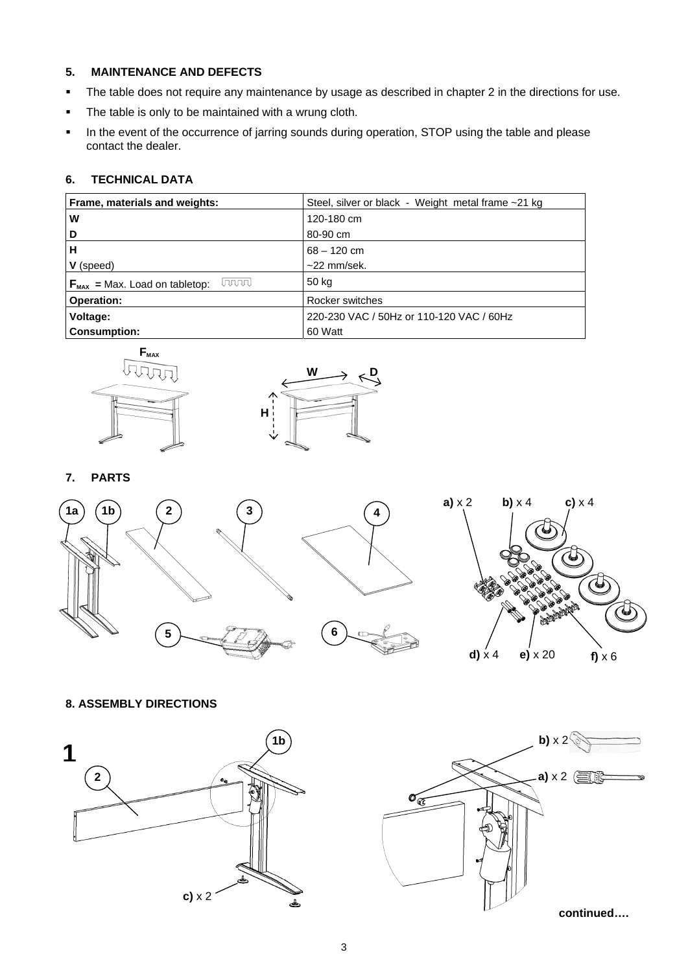#### **5. MAINTENANCE AND DEFECTS**

- The table does not require any maintenance by usage as described in chapter 2 in the directions for use.
- The table is only to be maintained with a wrung cloth.
- In the event of the occurrence of jarring sounds during operation, STOP using the table and please contact the dealer.

# **6. TECHNICAL DATA**

| Frame, materials and weights:                       | Steel, silver or black - Weight metal frame ~21 kg |
|-----------------------------------------------------|----------------------------------------------------|
| W                                                   | 120-180 cm                                         |
| D                                                   | 80-90 cm                                           |
| н                                                   | $68 - 120$ cm                                      |
| V (speed)                                           | $~22$ mm/sek.                                      |
| laaaal<br>$F_{\text{MAX}}$ = Max. Load on tabletop: | 50 kg                                              |
| <b>Operation:</b>                                   | Rocker switches                                    |
| Voltage:                                            | 220-230 VAC / 50Hz or 110-120 VAC / 60Hz           |
| <b>Consumption:</b>                                 | 60 Watt                                            |





**7. PARTS** 





### **8. ASSEMBLY DIRECTIONS**



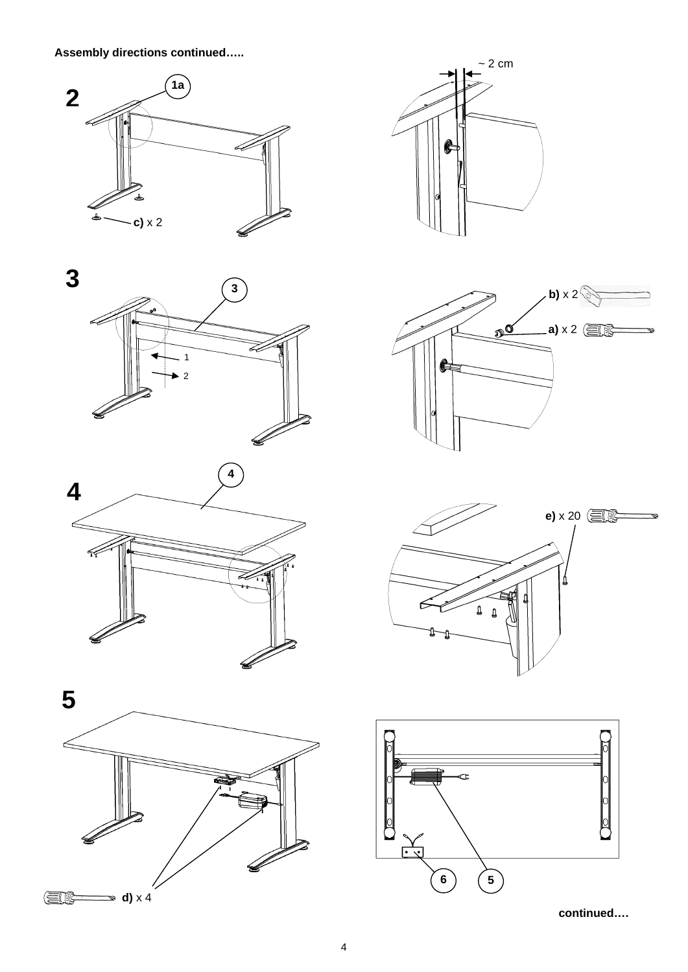**Assembly directions continued…..** 

















**continued….**